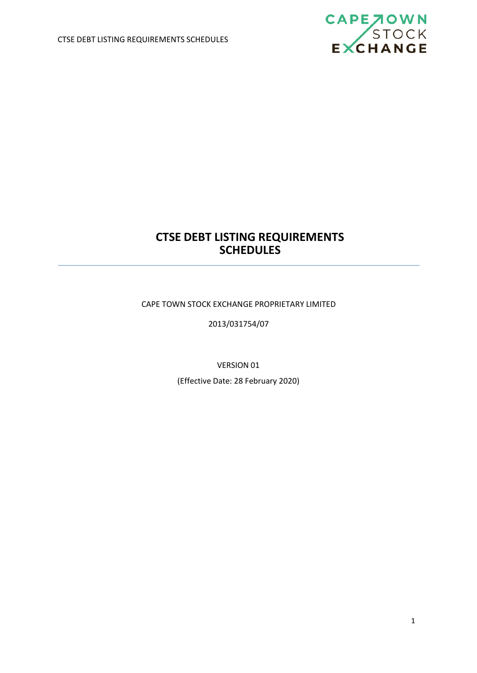

# **CTSE DEBT LISTING REQUIREMENTS SCHEDULES**

CAPE TOWN STOCK EXCHANGE PROPRIETARY LIMITED

2013/031754/07

VERSION 01

(Effective Date: 28 February 2020)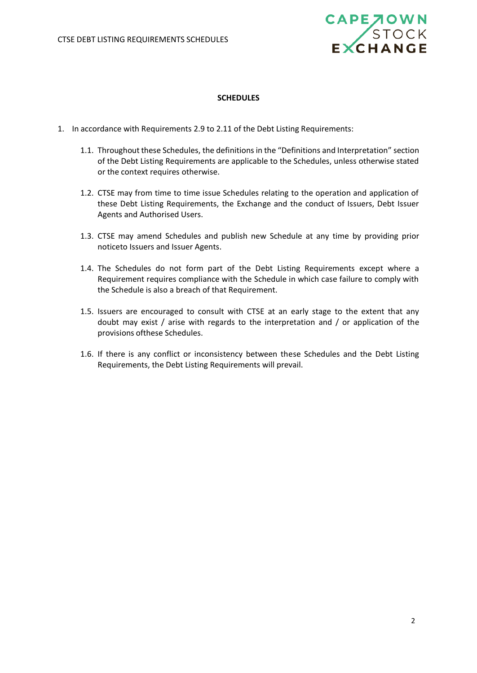

## **SCHEDULES**

- 1. In accordance with Requirements 2.9 to 2.11 of the Debt Listing Requirements:
	- 1.1. Throughout these Schedules, the definitions in the "Definitions and Interpretation" section of the Debt Listing Requirements are applicable to the Schedules, unless otherwise stated or the context requires otherwise.
	- 1.2. CTSE may from time to time issue Schedules relating to the operation and application of these Debt Listing Requirements, the Exchange and the conduct of Issuers, Debt Issuer Agents and Authorised Users.
	- 1.3. CTSE may amend Schedules and publish new Schedule at any time by providing prior noticeto Issuers and Issuer Agents.
	- 1.4. The Schedules do not form part of the Debt Listing Requirements except where a Requirement requires compliance with the Schedule in which case failure to comply with the Schedule is also a breach of that Requirement.
	- 1.5. Issuers are encouraged to consult with CTSE at an early stage to the extent that any doubt may exist / arise with regards to the interpretation and / or application of the provisions ofthese Schedules.
	- 1.6. If there is any conflict or inconsistency between these Schedules and the Debt Listing Requirements, the Debt Listing Requirements will prevail.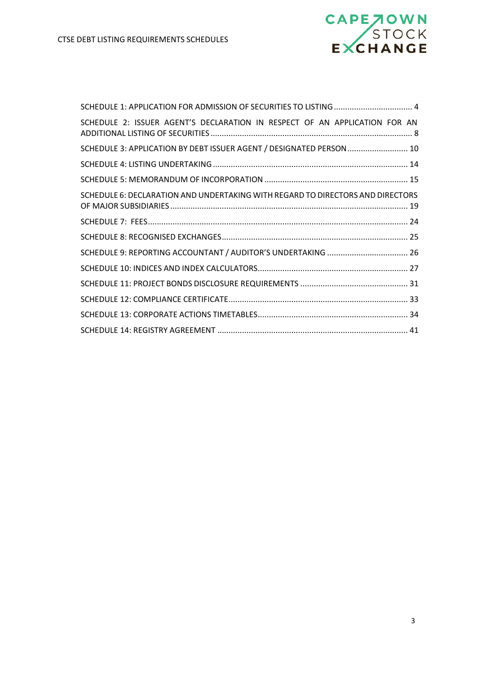

| SCHEDULE 1: APPLICATION FOR ADMISSION OF SECURITIES TO LISTING  4              |  |
|--------------------------------------------------------------------------------|--|
| SCHEDULE 2: ISSUER AGENT'S DECLARATION IN RESPECT OF AN APPLICATION FOR AN     |  |
| SCHEDULE 3: APPLICATION BY DEBT ISSUER AGENT / DESIGNATED PERSON 10            |  |
|                                                                                |  |
|                                                                                |  |
| SCHEDULE 6: DECLARATION AND UNDERTAKING WITH REGARD TO DIRECTORS AND DIRECTORS |  |
|                                                                                |  |
|                                                                                |  |
| SCHEDULE 9: REPORTING ACCOUNTANT / AUDITOR'S UNDERTAKING  26                   |  |
|                                                                                |  |
|                                                                                |  |
|                                                                                |  |
|                                                                                |  |
|                                                                                |  |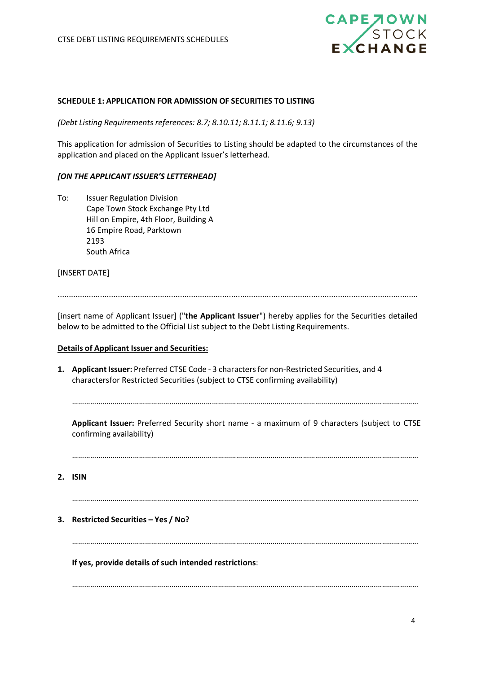

## <span id="page-3-0"></span>**SCHEDULE 1: APPLICATION FOR ADMISSION OF SECURITIES TO LISTING**

*(Debt Listing Requirements references: 8.7; 8.10.11; 8.11.1; 8.11.6; 9.13)*

This application for admission of Securities to Listing should be adapted to the circumstances of the application and placed on the Applicant Issuer's letterhead.

## *[ON THE APPLICANT ISSUER'S LETTERHEAD]*

To: Issuer Regulation Division Cape Town Stock Exchange Pty Ltd Hill on Empire, 4th Floor, Building A 16 Empire Road, Parktown 2193 South Africa

[INSERT DATE]

..................................................................................................................................................................

[insert name of Applicant Issuer] ("**the Applicant Issuer**") hereby applies for the Securities detailed below to be admitted to the Official List subject to the Debt Listing Requirements.

## **Details of Applicant Issuer and Securities:**

1. **Applicant Issuer:** Preferred CTSE Code - 3 characters for non-Restricted Securities, and 4 charactersfor Restricted Securities (subject to CTSE confirming availability)

………………………………………………………………………………………………………………………………………………………

**Applicant Issuer:** Preferred Security short name - a maximum of 9 characters (subject to CTSE confirming availability)

………………………………………………………………………………………………………………………………………………………

**2. ISIN**

………………………………………………………………………………………………………………………………………………………

**3. Restricted Securities – Yes / No?**

………………………………………………………………………………………………………………………………………………………

………………………………………………………………………………………………………………………………………………………

**If** yes, provide details of such intended restrictions: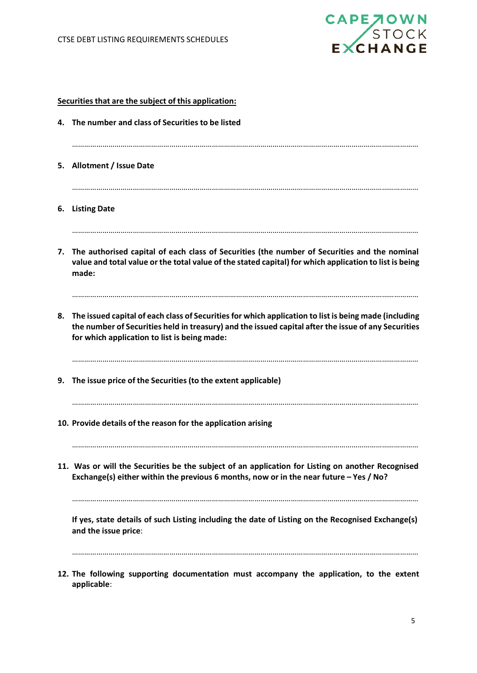**applicable**:



|    | Securities that are the subject of this application:                                                                                                                                                                                                         |
|----|--------------------------------------------------------------------------------------------------------------------------------------------------------------------------------------------------------------------------------------------------------------|
|    | 4. The number and class of Securities to be listed                                                                                                                                                                                                           |
|    | 5. Allotment / Issue Date                                                                                                                                                                                                                                    |
| 6. | <b>Listing Date</b>                                                                                                                                                                                                                                          |
|    | 7. The authorised capital of each class of Securities (the number of Securities and the nominal<br>value and total value or the total value of the stated capital) for which application to list is being<br>made:                                           |
| 8. | The issued capital of each class of Securities for which application to list is being made (including<br>the number of Securities held in treasury) and the issued capital after the issue of any Securities<br>for which application to list is being made: |
|    | 9. The issue price of the Securities (to the extent applicable)                                                                                                                                                                                              |
|    | 10. Provide details of the reason for the application arising                                                                                                                                                                                                |
|    | 11. Was or will the Securities be the subject of an application for Listing on another Recognised<br>Exchange(s) either within the previous 6 months, now or in the near future $-$ Yes / No?                                                                |
|    | If yes, state details of such Listing including the date of Listing on the Recognised Exchange(s)<br>and the issue price:                                                                                                                                    |
|    | 12. The following supporting documentation must accompany the application, to the extent                                                                                                                                                                     |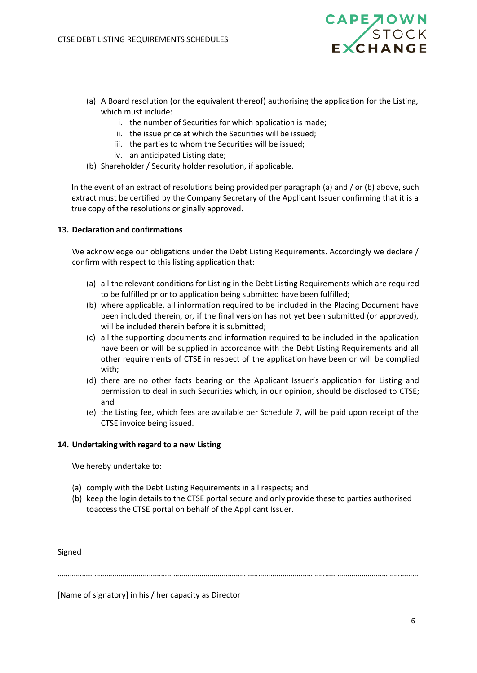

- (a) A Board resolution (or the equivalent thereof) authorising the application for the Listing, which must include:
	- i. the number of Securities for which application is made;
	- ii. the issue price at which the Securities will be issued;
	- iii. the parties to whom the Securities will be issued;
	- iv. an anticipated Listing date;
- (b) Shareholder / Security holder resolution, if applicable.

In the event of an extract of resolutions being provided per paragraph (a) and / or (b) above, such extract must be certified by the Company Secretary of the Applicant Issuer confirming that it is a true copy of the resolutions originally approved.

## **13. Declaration and confirmations**

We acknowledge our obligations under the Debt Listing Requirements. Accordingly we declare / confirm with respect to this listing application that:

- (a) all the relevant conditions for Listing in the Debt Listing Requirements which are required to be fulfilled prior to application being submitted have been fulfilled;
- (b) where applicable, all information required to be included in the Placing Document have been included therein, or, if the final version has not yet been submitted (or approved), will be included therein before it is submitted;
- (c) all the supporting documents and information required to be included in the application have been or will be supplied in accordance with the Debt Listing Requirements and all other requirements of CTSE in respect of the application have been or will be complied with;
- (d) there are no other facts bearing on the Applicant Issuer's application for Listing and permission to deal in such Securities which, in our opinion, should be disclosed to CTSE; and
- (e) the Listing fee, which fees are available per Schedule 7, will be paid upon receipt of the CTSE invoice being issued.

## **14. Undertaking with regard to a new Listing**

We hereby undertake to:

- (a) comply with the Debt Listing Requirements in all respects; and
- (b) keep the login details to the CTSE portal secure and only provide these to parties authorised toaccess the CTSE portal on behalf of the Applicant Issuer.

Signed

………………………………………………………………………………………………………………………………………….…………………

[Name of signatory] in his / her capacity as Director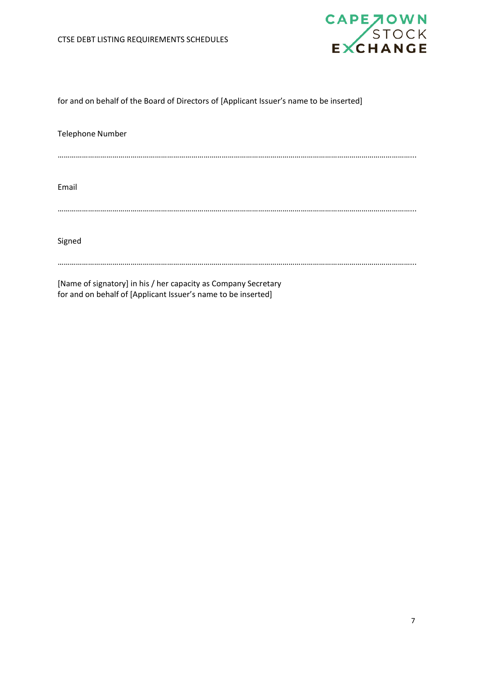

# for and on behalf of the Board of Directors of [Applicant Issuer's name to be inserted]

| <b>Telephone Number</b>                                        |
|----------------------------------------------------------------|
|                                                                |
| Email                                                          |
|                                                                |
| Signed                                                         |
| [Name of signatory] in his / her canacity as Company Secretary |

[Name of signatory] in his / her capacity as Company Secretary for and on behalf of [Applicant Issuer's name to be inserted]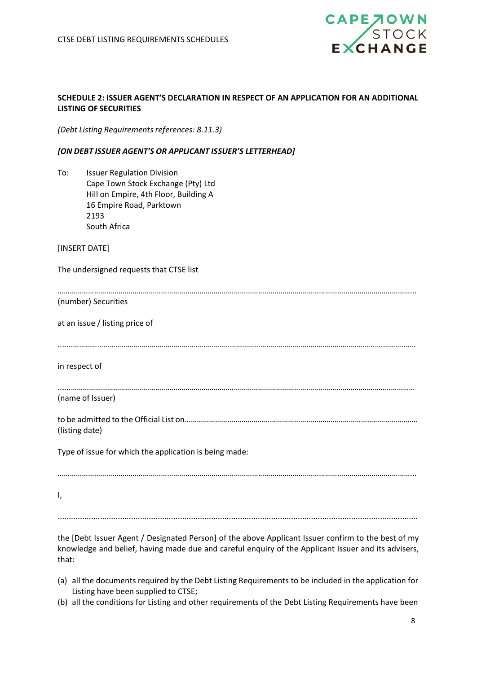

# <span id="page-7-0"></span>**SCHEDULE 2: ISSUER AGENT'S DECLARATION IN RESPECT OF AN APPLICATION FOR AN ADDITIONAL LISTING OF SECURITIES**

*(Debt Listing Requirements references: 8.11.3)*

# *[ON DEBT ISSUER AGENT'S OR APPLICANT ISSUER'S LETTERHEAD]*

To: Issuer Regulation Division Cape Town Stock Exchange (Pty) Ltd Hill on Empire, 4th Floor, Building A 16 Empire Road, Parktown 2193 South Africa

[INSERT DATE]

The undersigned requests that CTSE list

(number) Securities

at an issue / listing price of

.......……………………………………………………………………………………………………………………………………….…………….

in respect of

(name of Issuer)

to be admitted to the Official List on……………………………………………………………………………………………………. (listing date)

......………………………………………………………………………………………………………………………………………………………

…………………………………………………………………………………………………………………………………………………………...

Type of issue for which the application is being made:

…………………………………………………………………………………………………………………………………………………………...

I,

..................................................................................................................................................................

the [Debt Issuer Agent / Designated Person] of the above Applicant Issuer confirm to the best of my knowledge and belief, having made due and careful enquiry of the Applicant Issuer and its advisers, that:

- (a) all the documents required by the Debt Listing Requirements to be included in the application for Listing have been supplied to CTSE;
- (b) all the conditions for Listing and other requirements of the Debt Listing Requirements have been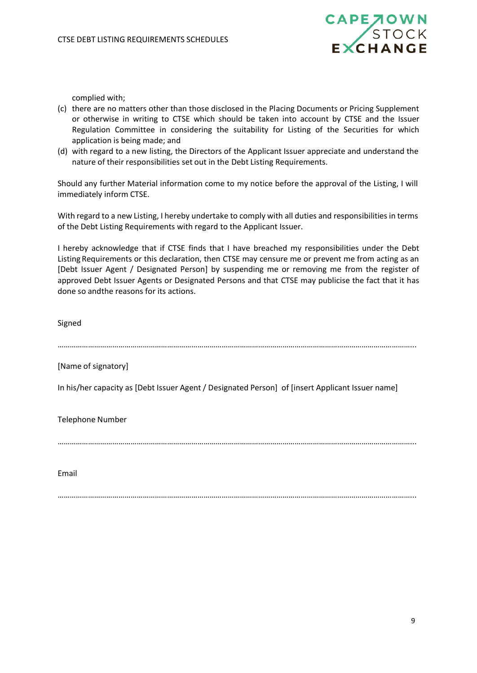

complied with;

- (c) there are no matters other than those disclosed in the Placing Documents or Pricing Supplement or otherwise in writing to CTSE which should be taken into account by CTSE and the Issuer Regulation Committee in considering the suitability for Listing of the Securities for which application is being made; and
- (d) with regard to a new listing, the Directors of the Applicant Issuer appreciate and understand the nature of their responsibilities set out in the Debt Listing Requirements.

Should any further Material information come to my notice before the approval of the Listing, I will immediately inform CTSE.

With regard to a new Listing, I hereby undertake to comply with all duties and responsibilities in terms of the Debt Listing Requirements with regard to the Applicant Issuer.

I hereby acknowledge that if CTSE finds that I have breached my responsibilities under the Debt Listing Requirements or this declaration, then CTSE may censure me or prevent me from acting as an [Debt Issuer Agent / Designated Person] by suspending me or removing me from the register of approved Debt Issuer Agents or Designated Persons and that CTSE may publicise the fact that it has done so andthe reasons for its actions.

Signed …………………………………………………………………………………………………………………………………………………………... [Name of signatory] In his/her capacity as [Debt Issuer Agent / Designated Person] of [insert Applicant Issuer name] Telephone Number …………………………………………………………………………………………………………………………………………………………... Email

…………………………………………………………………………………………………………………………………………………………...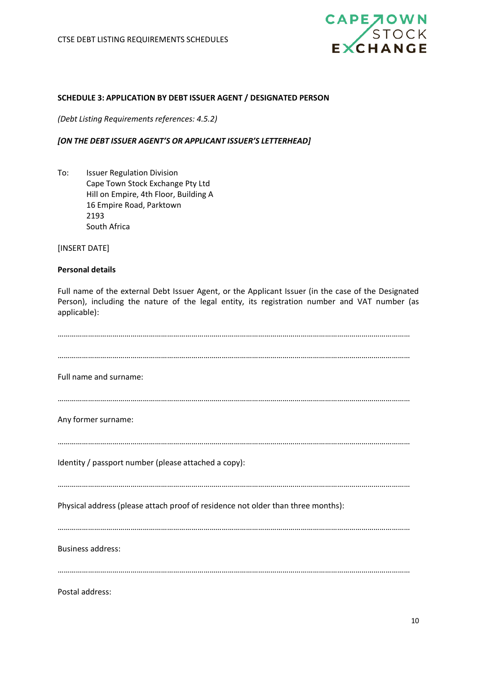

## <span id="page-9-0"></span>**SCHEDULE 3: APPLICATION BY DEBT ISSUER AGENT / DESIGNATED PERSON**

*(Debt Listing Requirements references: 4.5.2)*

## *[ON THE DEBT ISSUER AGENT'S OR APPLICANT ISSUER'S LETTERHEAD]*

To: Issuer Regulation Division Cape Town Stock Exchange Pty Ltd Hill on Empire, 4th Floor, Building A 16 Empire Road, Parktown 2193 South Africa

[INSERT DATE]

## **Personal details**

Full name of the external Debt Issuer Agent, or the Applicant Issuer (in the case of the Designated Person), including the nature of the legal entity, its registration number and VAT number (as applicable):

| Full name and surname:                                                           |
|----------------------------------------------------------------------------------|
| Any former surname:                                                              |
| Identity / passport number (please attached a copy):                             |
| Physical address (please attach proof of residence not older than three months): |
| <b>Business address:</b>                                                         |
| Postal address:                                                                  |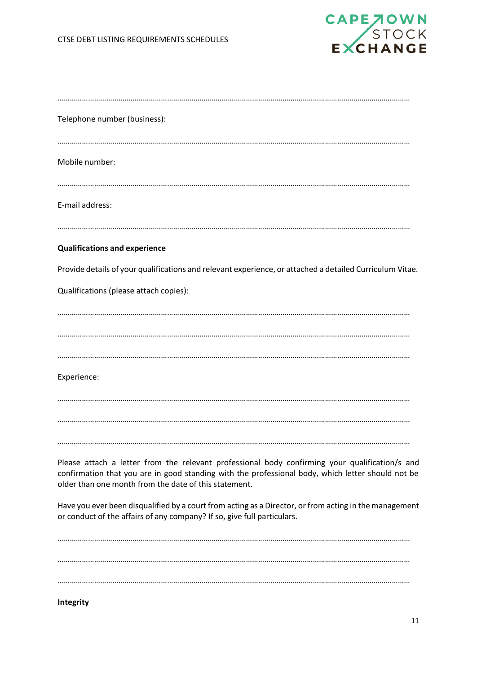

| Telephone number (business):                                                                                                                                                                                                                                 |
|--------------------------------------------------------------------------------------------------------------------------------------------------------------------------------------------------------------------------------------------------------------|
|                                                                                                                                                                                                                                                              |
| Mobile number:                                                                                                                                                                                                                                               |
| E-mail address:                                                                                                                                                                                                                                              |
| <b>Qualifications and experience</b>                                                                                                                                                                                                                         |
| Provide details of your qualifications and relevant experience, or attached a detailed Curriculum Vitae.                                                                                                                                                     |
| Qualifications (please attach copies):                                                                                                                                                                                                                       |
|                                                                                                                                                                                                                                                              |
|                                                                                                                                                                                                                                                              |
|                                                                                                                                                                                                                                                              |
| Experience:                                                                                                                                                                                                                                                  |
|                                                                                                                                                                                                                                                              |
|                                                                                                                                                                                                                                                              |
| Please attach a letter from the relevant professional body confirming your qualification/s and<br>confirmation that you are in good standing with the professional body, which letter should not be<br>older than one month from the date of this statement. |
| Have you ever been disqualified by a court from acting as a Director, or from acting in the management<br>or conduct of the affairs of any company? If so, give full particulars.                                                                            |
|                                                                                                                                                                                                                                                              |
|                                                                                                                                                                                                                                                              |
|                                                                                                                                                                                                                                                              |
| Integrity                                                                                                                                                                                                                                                    |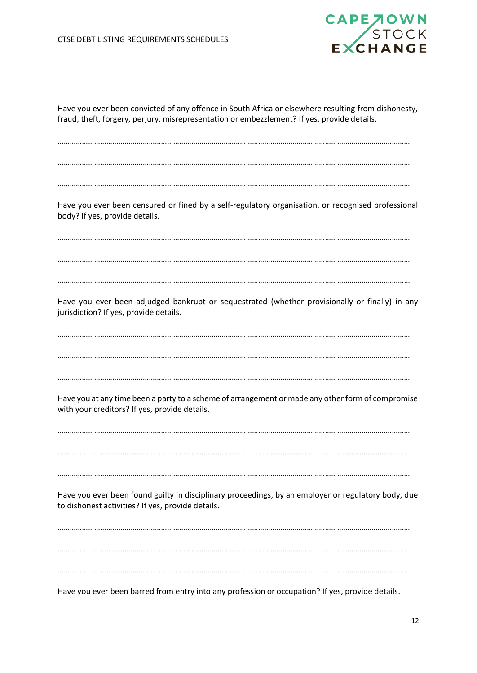

Have you ever been convicted of any offence in South Africa or elsewhere resulting from dishonesty, fraud, theft, forgery, perjury, misrepresentation or embezzlement? If yes, provide details.

………………………………………………………………………………………………………………………………………………………… …………………………………………………………………………………………………………………………………………………………

…………………………………………………………………………………………………………………………………………………………

Have you ever been censured or fined by a self-regulatory organisation, or recognised professional body? If yes, provide details.

…………………………………………………………………………………………………………………………………………………………

…………………………………………………………………………………………………………………………………………………………

…………………………………………………………………………………………………………………………………………………………

Have you ever been adjudged bankrupt or sequestrated (whether provisionally or finally) in any jurisdiction? If yes, provide details.

………………………………………………………………………………………………………………………………………………………… …………………………………………………………………………………………………………………………………………………………

…………………………………………………………………………………………………………………………………………………………

Have you at any time been a party to a scheme of arrangement or made any other form of compromise with your creditors? If yes, provide details.

………………………………………………………………………………………………………………………………………………………… …………………………………………………………………………………………………………………………………………………………

…………………………………………………………………………………………………………………………………………………………

Have you ever been found guilty in disciplinary proceedings, by an employer or regulatory body, due to dishonest activities? If yes, provide details.

. The contract of the contract of the contract of the contract of the contract of the contract of the contract of the contract of the contract of the contract of the contract of the contract of the contract of the contrac ………………………………………………………………………………………………………………………………………………………… …………………………………………………………………………………………………………………………………………………………

Have you ever been barred from entry into any profession or occupation? If yes, provide details.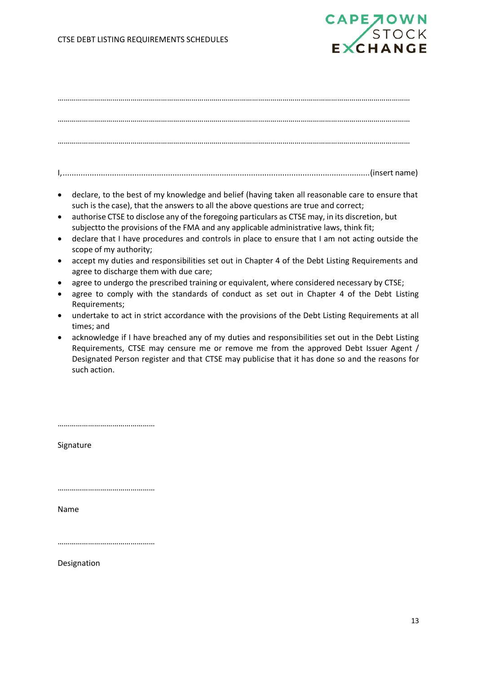

I,.........................................................................................................................................(insert name)

- declare, to the best of my knowledge and belief (having taken all reasonable care to ensure that such is the case), that the answers to all the above questions are true and correct;
- authorise CTSE to disclose any of the foregoing particulars as CTSE may, in its discretion, but subjectto the provisions of the FMA and any applicable administrative laws, think fit;
- declare that I have procedures and controls in place to ensure that I am not acting outside the scope of my authority;
- accept my duties and responsibilities set out in Chapter 4 of the Debt Listing Requirements and agree to discharge them with due care;
- agree to undergo the prescribed training or equivalent, where considered necessary by CTSE;
- agree to comply with the standards of conduct as set out in Chapter 4 of the Debt Listing Requirements;
- undertake to act in strict accordance with the provisions of the Debt Listing Requirements at all times; and
- acknowledge if I have breached any of my duties and responsibilities set out in the Debt Listing Requirements, CTSE may censure me or remove me from the approved Debt Issuer Agent / Designated Person register and that CTSE may publicise that it has done so and the reasons for such action.

…………………………………………

Signature

…………………………………………

Name

…………………………………………

Designation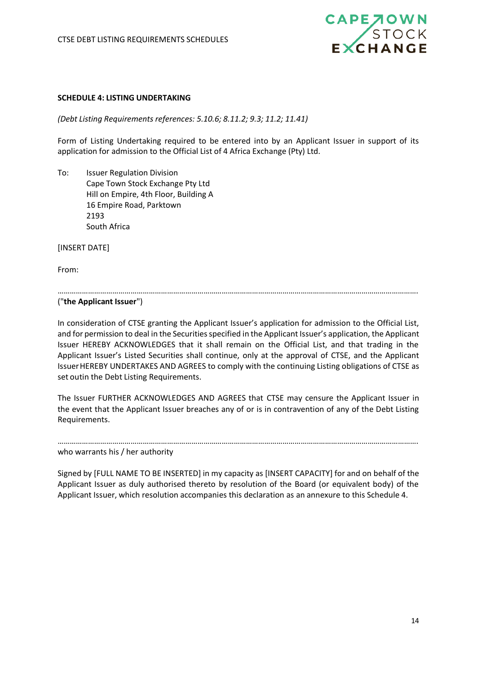

## <span id="page-13-0"></span>**SCHEDULE 4: LISTING UNDERTAKING**

*(Debt Listing Requirements references: 5.10.6; 8.11.2; 9.3; 11.2; 11.41)*

Form of Listing Undertaking required to be entered into by an Applicant Issuer in support of its application for admission to the Official List of 4 Africa Exchange (Pty) Ltd.

To: Issuer Regulation Division Cape Town Stock Exchange Pty Ltd Hill on Empire, 4th Floor, Building A 16 Empire Road, Parktown 2193 South Africa

[INSERT DATE]

From:

…………………………………………………………………………………………………………………………………………………………….

("**the Applicant Issuer**")

In consideration of CTSE granting the Applicant Issuer's application for admission to the Official List, and for permission to deal in the Securities specified in the Applicant Issuer's application, the Applicant Issuer HEREBY ACKNOWLEDGES that it shall remain on the Official List, and that trading in the Applicant Issuer's Listed Securities shall continue, only at the approval of CTSE, and the Applicant IssuerHEREBY UNDERTAKES AND AGREES to comply with the continuing Listing obligations of CTSE as set outin the Debt Listing Requirements.

The Issuer FURTHER ACKNOWLEDGES AND AGREES that CTSE may censure the Applicant Issuer in the event that the Applicant Issuer breaches any of or is in contravention of any of the Debt Listing Requirements.

……………………………………………………………………………………………………………………………………………………………. who warrants his / her authority

Signed by [FULL NAME TO BE INSERTED] in my capacity as [INSERT CAPACITY] for and on behalf of the Applicant Issuer as duly authorised thereto by resolution of the Board (or equivalent body) of the Applicant Issuer, which resolution accompanies this declaration as an annexure to this Schedule 4.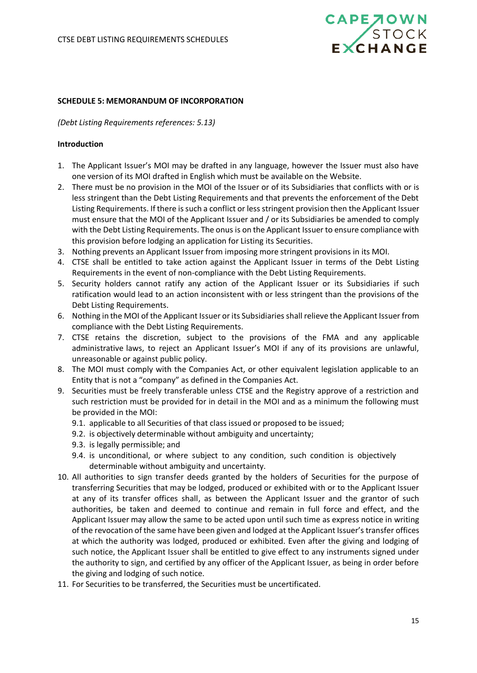

#### <span id="page-14-0"></span>**SCHEDULE 5: MEMORANDUM OF INCORPORATION**

#### *(Debt Listing Requirements references: 5.13)*

#### **Introduction**

- 1. The Applicant Issuer's MOI may be drafted in any language, however the Issuer must also have one version of its MOI drafted in English which must be available on the Website.
- 2. There must be no provision in the MOI of the Issuer or of its Subsidiaries that conflicts with or is less stringent than the Debt Listing Requirements and that prevents the enforcement of the Debt Listing Requirements. If there is such a conflict or less stringent provision then the Applicant Issuer must ensure that the MOI of the Applicant Issuer and / or its Subsidiaries be amended to comply with the Debt Listing Requirements. The onus is on the Applicant Issuer to ensure compliance with this provision before lodging an application for Listing its Securities.
- 3. Nothing prevents an Applicant Issuer from imposing more stringent provisions in its MOI.
- 4. CTSE shall be entitled to take action against the Applicant Issuer in terms of the Debt Listing Requirements in the event of non-compliance with the Debt Listing Requirements.
- 5. Security holders cannot ratify any action of the Applicant Issuer or its Subsidiaries if such ratification would lead to an action inconsistent with or less stringent than the provisions of the Debt Listing Requirements.
- 6. Nothing in the MOI of the Applicant Issuer or its Subsidiaries shall relieve the Applicant Issuer from compliance with the Debt Listing Requirements.
- 7. CTSE retains the discretion, subject to the provisions of the FMA and any applicable administrative laws, to reject an Applicant Issuer's MOI if any of its provisions are unlawful, unreasonable or against public policy.
- 8. The MOI must comply with the Companies Act, or other equivalent legislation applicable to an Entity that is not a "company" as defined in the Companies Act.
- 9. Securities must be freely transferable unless CTSE and the Registry approve of a restriction and such restriction must be provided for in detail in the MOI and as a minimum the following must be provided in the MOI:
	- 9.1. applicable to all Securities of that class issued or proposed to be issued;
	- 9.2. is objectively determinable without ambiguity and uncertainty;
	- 9.3. is legally permissible; and
	- 9.4. is unconditional, or where subject to any condition, such condition is objectively determinable without ambiguity and uncertainty.
- 10. All authorities to sign transfer deeds granted by the holders of Securities for the purpose of transferring Securities that may be lodged, produced or exhibited with or to the Applicant Issuer at any of its transfer offices shall, as between the Applicant Issuer and the grantor of such authorities, be taken and deemed to continue and remain in full force and effect, and the Applicant Issuer may allow the same to be acted upon until such time as express notice in writing of the revocation of the same have been given and lodged at the Applicant Issuer'stransfer offices at which the authority was lodged, produced or exhibited. Even after the giving and lodging of such notice, the Applicant Issuer shall be entitled to give effect to any instruments signed under the authority to sign, and certified by any officer of the Applicant Issuer, as being in order before the giving and lodging of such notice.
- 11. For Securities to be transferred, the Securities must be uncertificated.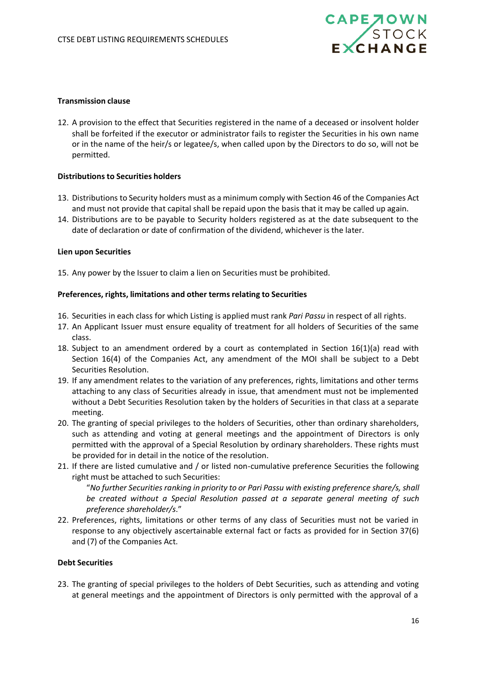

## **Transmission clause**

12. A provision to the effect that Securities registered in the name of a deceased or insolvent holder shall be forfeited if the executor or administrator fails to register the Securities in his own name or in the name of the heir/s or legatee/s, when called upon by the Directors to do so, will not be permitted.

## **Distributions to Securities holders**

- 13. Distributions to Security holders must as a minimum comply with Section 46 of the Companies Act and must not provide that capital shall be repaid upon the basis that it may be called up again.
- 14. Distributions are to be payable to Security holders registered as at the date subsequent to the date of declaration or date of confirmation of the dividend, whichever is the later.

#### **Lien upon Securities**

15. Any power by the Issuer to claim a lien on Securities must be prohibited.

## **Preferences, rights, limitations and other terms relating to Securities**

- 16. Securities in each class for which Listing is applied must rank *Pari Passu* in respect of all rights.
- 17. An Applicant Issuer must ensure equality of treatment for all holders of Securities of the same class.
- 18. Subject to an amendment ordered by a court as contemplated in Section 16(1)(a) read with Section 16(4) of the Companies Act, any amendment of the MOI shall be subject to a Debt Securities Resolution.
- 19. If any amendment relates to the variation of any preferences, rights, limitations and other terms attaching to any class of Securities already in issue, that amendment must not be implemented without a Debt Securities Resolution taken by the holders of Securities in that class at a separate meeting.
- 20. The granting of special privileges to the holders of Securities, other than ordinary shareholders, such as attending and voting at general meetings and the appointment of Directors is only permitted with the approval of a Special Resolution by ordinary shareholders. These rights must be provided for in detail in the notice of the resolution.
- 21. If there are listed cumulative and / or listed non-cumulative preference Securities the following right must be attached to such Securities:

"*No further Securities ranking in priority to or Pari Passu with existing preference share/s, shall be created without a Special Resolution passed at a separate general meeting of such preference shareholder/s*."

22. Preferences, rights, limitations or other terms of any class of Securities must not be varied in response to any objectively ascertainable external fact or facts as provided for in Section 37(6) and (7) of the Companies Act.

#### **Debt Securities**

23. The granting of special privileges to the holders of Debt Securities, such as attending and voting at general meetings and the appointment of Directors is only permitted with the approval of a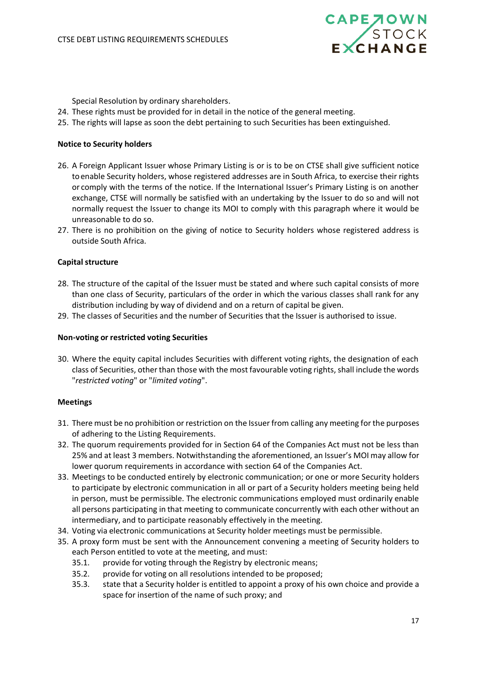

Special Resolution by ordinary shareholders.

- 24. These rights must be provided for in detail in the notice of the general meeting.
- 25. The rights will lapse as soon the debt pertaining to such Securities has been extinguished.

## **Notice to Security holders**

- 26. A Foreign Applicant Issuer whose Primary Listing is or is to be on CTSE shall give sufficient notice toenable Security holders, whose registered addresses are in South Africa, to exercise their rights or comply with the terms of the notice. If the International Issuer's Primary Listing is on another exchange, CTSE will normally be satisfied with an undertaking by the Issuer to do so and will not normally request the Issuer to change its MOI to comply with this paragraph where it would be unreasonable to do so.
- 27. There is no prohibition on the giving of notice to Security holders whose registered address is outside South Africa.

## **Capital structure**

- 28. The structure of the capital of the Issuer must be stated and where such capital consists of more than one class of Security, particulars of the order in which the various classes shall rank for any distribution including by way of dividend and on a return of capital be given.
- 29. The classes of Securities and the number of Securities that the Issuer is authorised to issue.

## **Non-voting or restricted voting Securities**

30. Where the equity capital includes Securities with different voting rights, the designation of each class of Securities, other than those with the most favourable voting rights, shall include the words "*restricted voting*" or "*limited voting*".

## **Meetings**

- 31. There must be no prohibition or restriction on the Issuer from calling any meeting for the purposes of adhering to the Listing Requirements.
- 32. The quorum requirements provided for in Section 64 of the Companies Act must not be less than 25% and at least 3 members. Notwithstanding the aforementioned, an Issuer's MOI may allow for lower quorum requirements in accordance with section 64 of the Companies Act.
- 33. Meetings to be conducted entirely by electronic communication; or one or more Security holders to participate by electronic communication in all or part of a Security holders meeting being held in person, must be permissible. The electronic communications employed must ordinarily enable all persons participating in that meeting to communicate concurrently with each other without an intermediary, and to participate reasonably effectively in the meeting.
- 34. Voting via electronic communications at Security holder meetings must be permissible.
- 35. A proxy form must be sent with the Announcement convening a meeting of Security holders to each Person entitled to vote at the meeting, and must:
	- 35.1. provide for voting through the Registry by electronic means;
	- 35.2. provide for voting on all resolutions intended to be proposed;
	- 35.3. state that a Security holder is entitled to appoint a proxy of his own choice and provide a space for insertion of the name of such proxy; and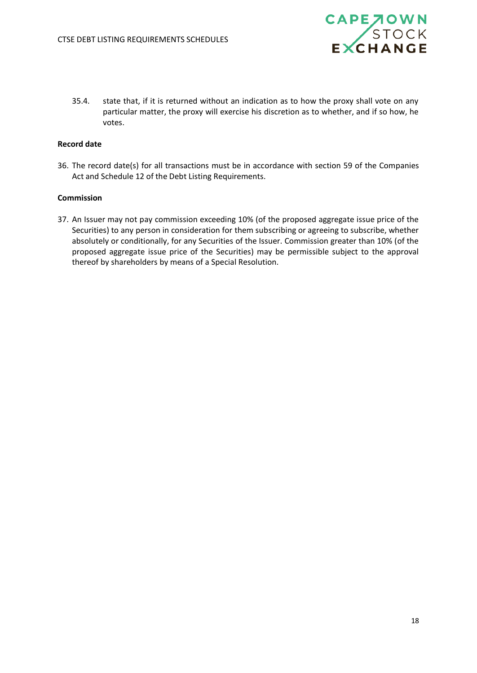

35.4. state that, if it is returned without an indication as to how the proxy shall vote on any particular matter, the proxy will exercise his discretion as to whether, and if so how, he votes.

## **Record date**

36. The record date(s) for all transactions must be in accordance with section 59 of the Companies Act and Schedule 12 of the Debt Listing Requirements.

## **Commission**

37. An Issuer may not pay commission exceeding 10% (of the proposed aggregate issue price of the Securities) to any person in consideration for them subscribing or agreeing to subscribe, whether absolutely or conditionally, for any Securities of the Issuer. Commission greater than 10% (of the proposed aggregate issue price of the Securities) may be permissible subject to the approval thereof by shareholders by means of a Special Resolution.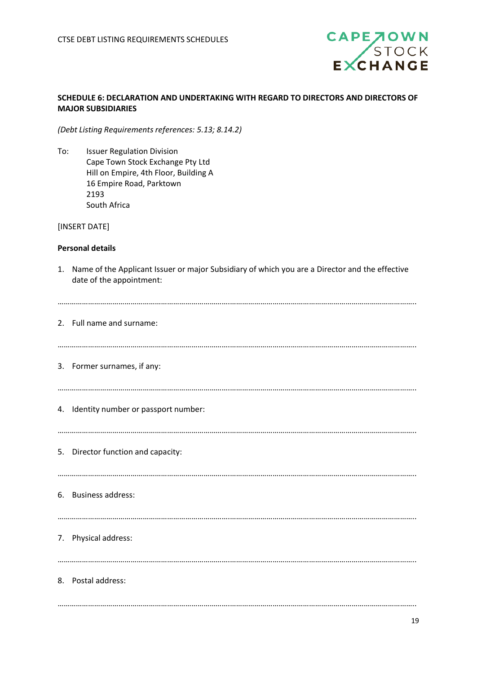

# <span id="page-18-0"></span>**SCHEDULE 6: DECLARATION AND UNDERTAKING WITH REGARD TO DIRECTORS AND DIRECTORS OF MAJOR SUBSIDIARIES**

*(Debt Listing Requirements references: 5.13; 8.14.2)*

To: Issuer Regulation Division Cape Town Stock Exchange Pty Ltd Hill on Empire, 4th Floor, Building A 16 Empire Road, Parktown 2193 South Africa

## [INSERT DATE]

## **Personal details**

1. Name of the Applicant Issuer or major Subsidiary of which you are a Director and the effective date of the appointment:

| 2. Full name and surname:              |
|----------------------------------------|
| 3. Former surnames, if any:            |
| 4. Identity number or passport number: |
| 5. Director function and capacity:     |
| 6. Business address:                   |
| 7. Physical address:                   |
| 8. Postal address:                     |
|                                        |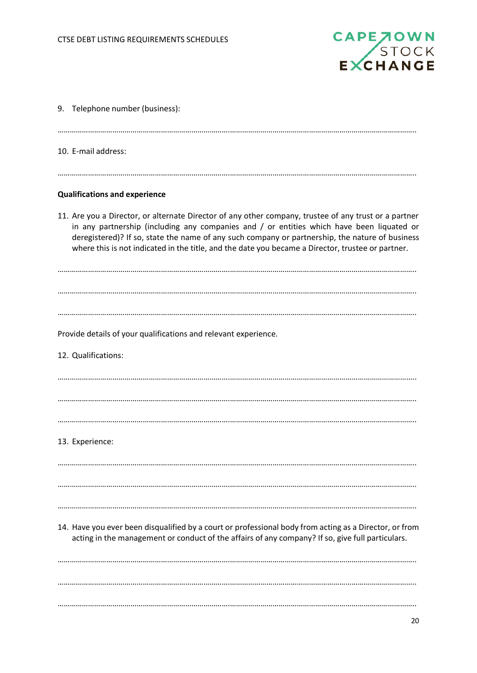

| 9. Telephone number (business):                                                                                                                                                                                                                                                                                                                                                                              |
|--------------------------------------------------------------------------------------------------------------------------------------------------------------------------------------------------------------------------------------------------------------------------------------------------------------------------------------------------------------------------------------------------------------|
| 10. E-mail address:                                                                                                                                                                                                                                                                                                                                                                                          |
| <b>Qualifications and experience</b>                                                                                                                                                                                                                                                                                                                                                                         |
| 11. Are you a Director, or alternate Director of any other company, trustee of any trust or a partner<br>in any partnership (including any companies and $/$ or entities which have been liquated or<br>deregistered)? If so, state the name of any such company or partnership, the nature of business<br>where this is not indicated in the title, and the date you became a Director, trustee or partner. |
|                                                                                                                                                                                                                                                                                                                                                                                                              |
|                                                                                                                                                                                                                                                                                                                                                                                                              |
| Provide details of your qualifications and relevant experience.                                                                                                                                                                                                                                                                                                                                              |
| 12. Qualifications:                                                                                                                                                                                                                                                                                                                                                                                          |
|                                                                                                                                                                                                                                                                                                                                                                                                              |
|                                                                                                                                                                                                                                                                                                                                                                                                              |
|                                                                                                                                                                                                                                                                                                                                                                                                              |
| 13. Experience:                                                                                                                                                                                                                                                                                                                                                                                              |
|                                                                                                                                                                                                                                                                                                                                                                                                              |
|                                                                                                                                                                                                                                                                                                                                                                                                              |
| 14. Have you ever been disqualified by a court or professional body from acting as a Director, or from<br>acting in the management or conduct of the affairs of any company? If so, give full particulars.                                                                                                                                                                                                   |
|                                                                                                                                                                                                                                                                                                                                                                                                              |
|                                                                                                                                                                                                                                                                                                                                                                                                              |
|                                                                                                                                                                                                                                                                                                                                                                                                              |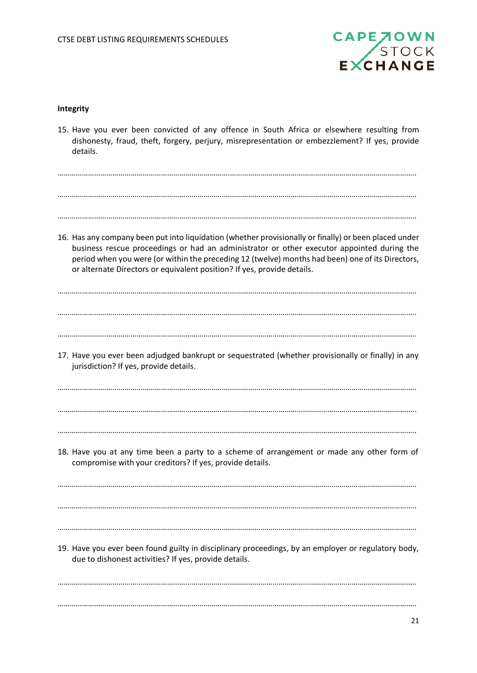

#### **Integrity**

………………………………………………………………………….……………………………………………………………………………….. ………………………………………………………………………….……………………………………………………………………………….. 15. Have you ever been convicted of any offence in South Africa or elsewhere resulting from dishonesty, fraud, theft, forgery, perjury, misrepresentation or embezzlement? If yes, provide details. ………………………………………………………………………….……………………………………………………………………………….. ………………………………………………………………………….……………………………………………………………………………….. ………………………………………………………………………….……………………………………………………………………………….. 16. Has any company been put into liquidation (whether provisionally or finally) or been placed under business rescue proceedings or had an administrator or other executor appointed during the period when you were (or within the preceding 12 (twelve) months had been) one of its Directors, or alternate Directors or equivalent position? If yes, provide details. ………………………………………………………………………….……………………………………………………………………………….. ………………………………………………………………………….……………………………………………………………………………….. ………………………………………………………………………….……………………………………………………………………………….. 17. Have you ever been adjudged bankrupt or sequestrated (whether provisionally or finally) in any jurisdiction? If yes, provide details. ………………………………………………………………………….……………………………………………………………………………….. ………………………………………………………………………….……………………………………………………………………………….. ………………………………………………………………………….……………………………………………………………………………….. 18. Have you at any time been a party to a scheme of arrangement or made any other form of compromise with your creditors? If yes, provide details. ………………………………………………………………………….……………………………………………………………………………….. ………………………………………………………………………….……………………………………………………………………………….. ………………………………………………………………………….……………………………………………………………………………….. 19. Have you ever been found guilty in disciplinary proceedings, by an employer or regulatory body, due to dishonest activities? If yes, provide details.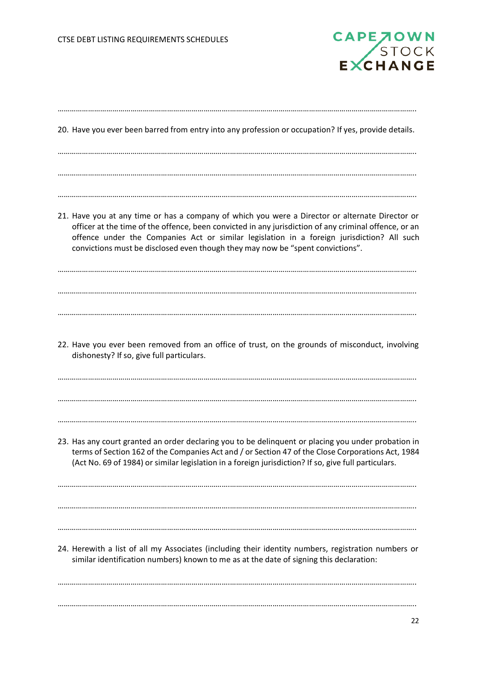

| 20. Have you ever been barred from entry into any profession or occupation? If yes, provide details.                                                                                                                                                                                                                                                                                     |
|------------------------------------------------------------------------------------------------------------------------------------------------------------------------------------------------------------------------------------------------------------------------------------------------------------------------------------------------------------------------------------------|
| 21. Have you at any time or has a company of which you were a Director or alternate Director or<br>officer at the time of the offence, been convicted in any jurisdiction of any criminal offence, or an<br>offence under the Companies Act or similar legislation in a foreign jurisdiction? All such<br>convictions must be disclosed even though they may now be "spent convictions". |
| 22. Have you ever been removed from an office of trust, on the grounds of misconduct, involving<br>dishonesty? If so, give full particulars.                                                                                                                                                                                                                                             |
| 23. Has any court granted an order declaring you to be delinquent or placing you under probation in<br>terms of Section 162 of the Companies Act and / or Section 47 of the Close Corporations Act, 1984<br>(Act No. 69 of 1984) or similar legislation in a foreign jurisdiction? If so, give full particulars.                                                                         |
| 24. Herewith a list of all my Associates (including their identity numbers, registration numbers or<br>similar identification numbers) known to me as at the date of signing this declaration:                                                                                                                                                                                           |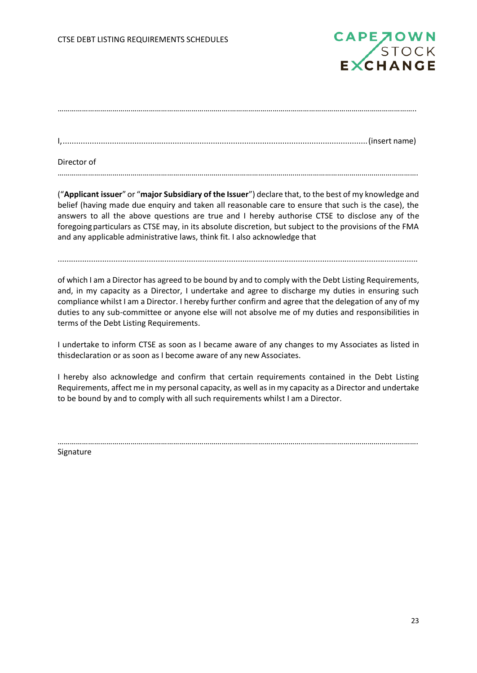

I,........................................................................................................................................(insert name)

Director of

…………………………………………………………………………………………………………………………………………………………….

("**Applicant issuer**" or "**major Subsidiary of the Issuer**") declare that, to the best of my knowledge and belief (having made due enquiry and taken all reasonable care to ensure that such is the case), the answers to all the above questions are true and I hereby authorise CTSE to disclose any of the foregoing particulars as CTSE may, in its absolute discretion, but subject to the provisions of the FMA and any applicable administrative laws, think fit. I also acknowledge that

..................................................................................................................................................................

of which I am a Director has agreed to be bound by and to comply with the Debt Listing Requirements, and, in my capacity as a Director, I undertake and agree to discharge my duties in ensuring such compliance whilst I am a Director. I hereby further confirm and agree that the delegation of any of my duties to any sub-committee or anyone else will not absolve me of my duties and responsibilities in terms of the Debt Listing Requirements.

I undertake to inform CTSE as soon as I became aware of any changes to my Associates as listed in thisdeclaration or as soon as I become aware of any new Associates.

I hereby also acknowledge and confirm that certain requirements contained in the Debt Listing Requirements, affect me in my personal capacity, as well asin my capacity as a Director and undertake to be bound by and to comply with all such requirements whilst I am a Director.

…………………………………………………………………………………………………………………………………………………………….

Signature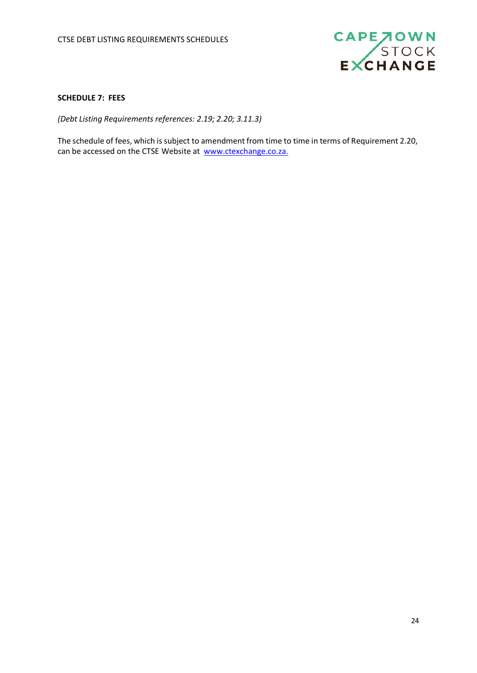

# <span id="page-23-0"></span>**SCHEDULE 7: FEES**

*(Debt Listing Requirements references: 2.19; 2.20; 3.11.3)*

The schedule of fees, which is subject to amendment from time to time in terms of Requirement 2.20, can be accessed on the CTSE Website at [www.ctexchange.co.za.](http://www.ctexchange.co.za./)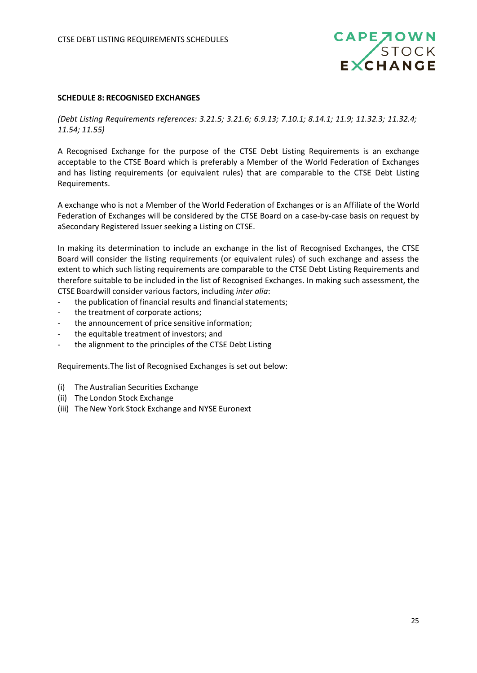

#### <span id="page-24-0"></span>**SCHEDULE 8: RECOGNISED EXCHANGES**

*(Debt Listing Requirements references: 3.21.5; 3.21.6; 6.9.13; 7.10.1; 8.14.1; 11.9; 11.32.3; 11.32.4; 11.54; 11.55)*

A Recognised Exchange for the purpose of the CTSE Debt Listing Requirements is an exchange acceptable to the CTSE Board which is preferably a Member of the World Federation of Exchanges and has listing requirements (or equivalent rules) that are comparable to the CTSE Debt Listing Requirements.

A exchange who is not a Member of the World Federation of Exchanges or is an Affiliate of the World Federation of Exchanges will be considered by the CTSE Board on a case-by-case basis on request by aSecondary Registered Issuer seeking a Listing on CTSE.

In making its determination to include an exchange in the list of Recognised Exchanges, the CTSE Board will consider the listing requirements (or equivalent rules) of such exchange and assess the extent to which such listing requirements are comparable to the CTSE Debt Listing Requirements and therefore suitable to be included in the list of Recognised Exchanges. In making such assessment, the CTSE Boardwill consider various factors, including *inter alia*:

- the publication of financial results and financial statements;
- the treatment of corporate actions;
- the announcement of price sensitive information;
- the equitable treatment of investors; and
- the alignment to the principles of the CTSE Debt Listing

Requirements.The list of Recognised Exchanges is set out below:

- (i) The Australian Securities Exchange
- (ii) The London Stock Exchange
- (iii) The New York Stock Exchange and NYSE Euronext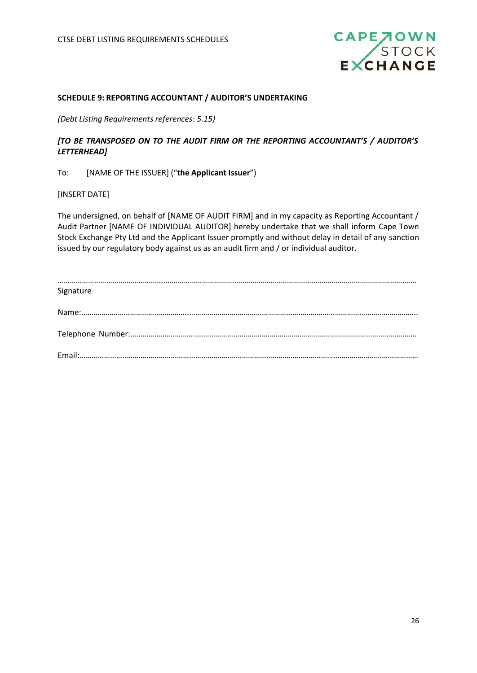

## <span id="page-25-0"></span>**SCHEDULE 9: REPORTING ACCOUNTANT / AUDITOR'S UNDERTAKING**

*(Debt Listing Requirements references: 5.15)*

# *[TO BE TRANSPOSED ON TO THE AUDIT FIRM OR THE REPORTING ACCOUNTANT'S / AUDITOR'S LETTERHEAD]*

## To: [NAME OF THE ISSUER] ("**the Applicant Issuer**")

[INSERT DATE]

The undersigned, on behalf of [NAME OF AUDIT FIRM] and in my capacity as Reporting Accountant / Audit Partner [NAME OF INDIVIDUAL AUDITOR] hereby undertake that we shall inform Cape Town Stock Exchange Pty Ltd and the Applicant Issuer promptly and without delay in detail of any sanction issued by our regulatory body against us as an audit firm and / or individual auditor.

| Signature |
|-----------|
|           |
|           |
|           |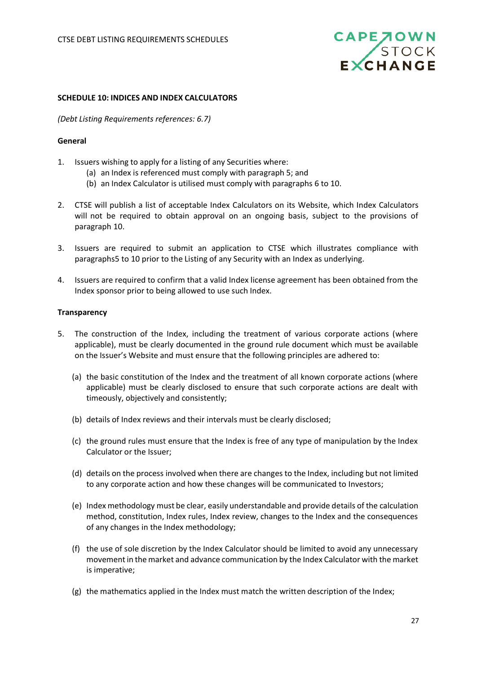

#### <span id="page-26-0"></span>**SCHEDULE 10: INDICES AND INDEX CALCULATORS**

*(Debt Listing Requirements references: 6.7)*

## **General**

- 1. Issuers wishing to apply for a listing of any Securities where:
	- (a) an Index is referenced must comply with paragraph 5; and
	- (b) an Index Calculator is utilised must comply with paragraphs 6 to 10.
- 2. CTSE will publish a list of acceptable Index Calculators on its Website, which Index Calculators will not be required to obtain approval on an ongoing basis, subject to the provisions of paragraph 10.
- 3. Issuers are required to submit an application to CTSE which illustrates compliance with paragraphs5 to 10 prior to the Listing of any Security with an Index as underlying.
- 4. Issuers are required to confirm that a valid Index license agreement has been obtained from the Index sponsor prior to being allowed to use such Index.

#### **Transparency**

- 5. The construction of the Index, including the treatment of various corporate actions (where applicable), must be clearly documented in the ground rule document which must be available on the Issuer's Website and must ensure that the following principles are adhered to:
	- (a) the basic constitution of the Index and the treatment of all known corporate actions (where applicable) must be clearly disclosed to ensure that such corporate actions are dealt with timeously, objectively and consistently;
	- (b) details of Index reviews and their intervals must be clearly disclosed;
	- (c) the ground rules must ensure that the Index is free of any type of manipulation by the Index Calculator or the Issuer;
	- (d) details on the process involved when there are changes to the Index, including but not limited to any corporate action and how these changes will be communicated to Investors;
	- (e) Index methodology must be clear, easily understandable and provide details of the calculation method, constitution, Index rules, Index review, changes to the Index and the consequences of any changes in the Index methodology;
	- (f) the use of sole discretion by the Index Calculator should be limited to avoid any unnecessary movementin themarket and advance communication by the Index Calculator with the market is imperative;
	- (g) the mathematics applied in the Index must match the written description of the Index;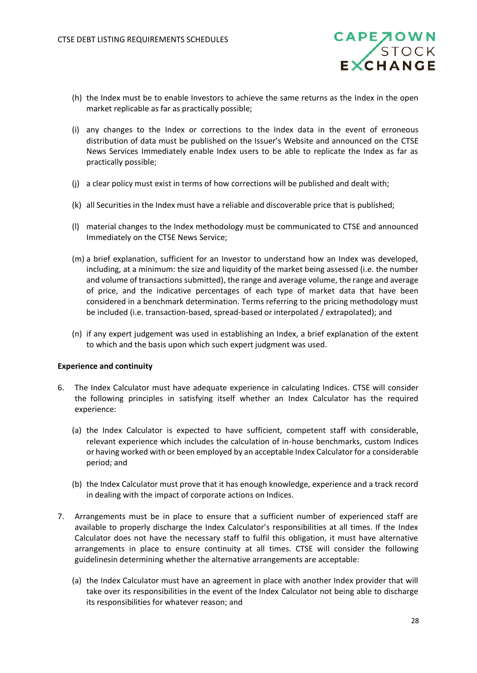- (h) the Index must be to enable Investors to achieve the same returns as the Index in the open market replicable as far as practically possible;
- (i) any changes to the Index or corrections to the Index data in the event of erroneous distribution of data must be published on the Issuer's Website and announced on the CTSE News Services Immediately enable Index users to be able to replicate the Index as far as practically possible;
- (j) a clear policy must exist in terms of how corrections will be published and dealt with;
- (k) all Securities in the Index must have a reliable and discoverable price that is published;
- (l) material changes to the Index methodology must be communicated to CTSE and announced Immediately on the CTSE News Service;
- (m) a brief explanation, sufficient for an Investor to understand how an Index was developed, including, at a minimum: the size and liquidity of the market being assessed (i.e. the number and volume of transactions submitted), the range and average volume, the range and average of price, and the indicative percentages of each type of market data that have been considered in a benchmark determination. Terms referring to the pricing methodology must be included (i.e. transaction-based, spread-based or interpolated / extrapolated); and
- (n) if any expert judgement was used in establishing an Index, a brief explanation of the extent to which and the basis upon which such expert judgment was used.

#### **Experience and continuity**

- 6. The Index Calculator must have adequate experience in calculating Indices. CTSE will consider the following principles in satisfying itself whether an Index Calculator has the required experience:
	- (a) the Index Calculator is expected to have sufficient, competent staff with considerable, relevant experience which includes the calculation of in-house benchmarks, custom Indices or having worked with or been employed by an acceptable Index Calculator for a considerable period; and
	- (b) the Index Calculator must prove that it has enough knowledge, experience and a track record in dealing with the impact of corporate actions on Indices.
- 7. Arrangements must be in place to ensure that a sufficient number of experienced staff are available to properly discharge the Index Calculator's responsibilities at all times. If the Index Calculator does not have the necessary staff to fulfil this obligation, it must have alternative arrangements in place to ensure continuity at all times. CTSE will consider the following guidelinesin determining whether the alternative arrangements are acceptable:
	- (a) the Index Calculator must have an agreement in place with another Index provider that will take over its responsibilities in the event of the Index Calculator not being able to discharge its responsibilities for whatever reason; and

**CAPE TOWN**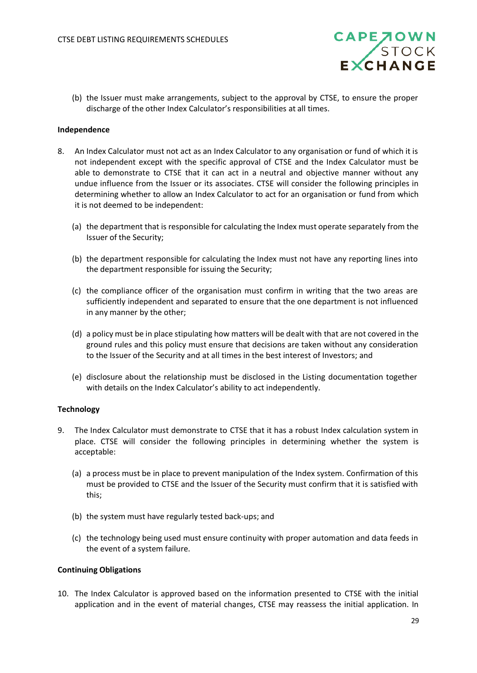

(b) the Issuer must make arrangements, subject to the approval by CTSE, to ensure the proper discharge of the other Index Calculator's responsibilities at all times.

## **Independence**

- 8. An Index Calculator must not act as an Index Calculator to any organisation or fund of which it is not independent except with the specific approval of CTSE and the Index Calculator must be able to demonstrate to CTSE that it can act in a neutral and objective manner without any undue influence from the Issuer or its associates. CTSE will consider the following principles in determining whether to allow an Index Calculator to act for an organisation or fund from which it is not deemed to be independent:
	- (a) the department that is responsible for calculating the Index must operate separately from the Issuer of the Security;
	- (b) the department responsible for calculating the Index must not have any reporting lines into the department responsible for issuing the Security;
	- (c) the compliance officer of the organisation must confirm in writing that the two areas are sufficiently independent and separated to ensure that the one department is not influenced in any manner by the other;
	- (d) a policy must be in place stipulating how matters will be dealt with that are not covered in the ground rules and this policy must ensure that decisions are taken without any consideration to the Issuer of the Security and at all times in the best interest of Investors; and
	- (e) disclosure about the relationship must be disclosed in the Listing documentation together with details on the Index Calculator's ability to act independently.

## **Technology**

- 9. The Index Calculator must demonstrate to CTSE that it has a robust Index calculation system in place. CTSE will consider the following principles in determining whether the system is acceptable:
	- (a) a process must be in place to prevent manipulation of the Index system. Confirmation of this must be provided to CTSE and the Issuer of the Security must confirm that it is satisfied with this;
	- (b) the system must have regularly tested back-ups; and
	- (c) the technology being used must ensure continuity with proper automation and data feeds in the event of a system failure.

#### **Continuing Obligations**

10. The Index Calculator is approved based on the information presented to CTSE with the initial application and in the event of material changes, CTSE may reassess the initial application. In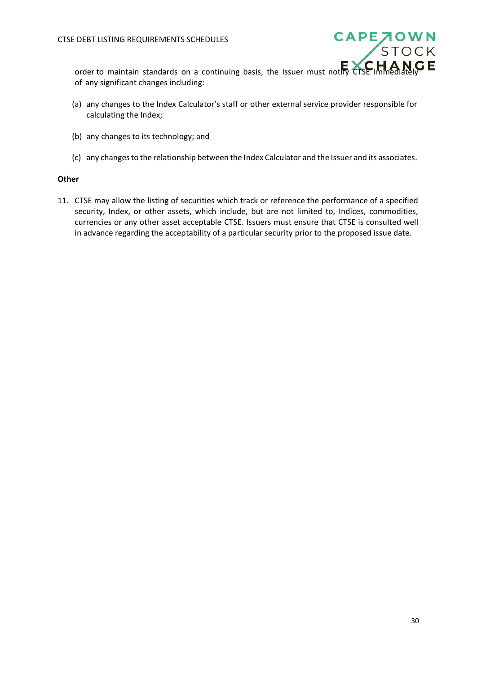

order to maintain standards on a continuing basis, the Issuer must notify CTSE Immediately of any significant changes including:

- (a) any changes to the Index Calculator's staff or other external service provider responsible for calculating the Index;
- (b) any changes to its technology; and
- (c) any changesto the relationship between the Index Calculator and the Issuer and its associates.

## **Other**

11. CTSE may allow the listing of securities which track or reference the performance of a specified security, Index, or other assets, which include, but are not limited to, Indices, commodities, currencies or any other asset acceptable CTSE. Issuers must ensure that CTSE is consulted well in advance regarding the acceptability of a particular security prior to the proposed issue date.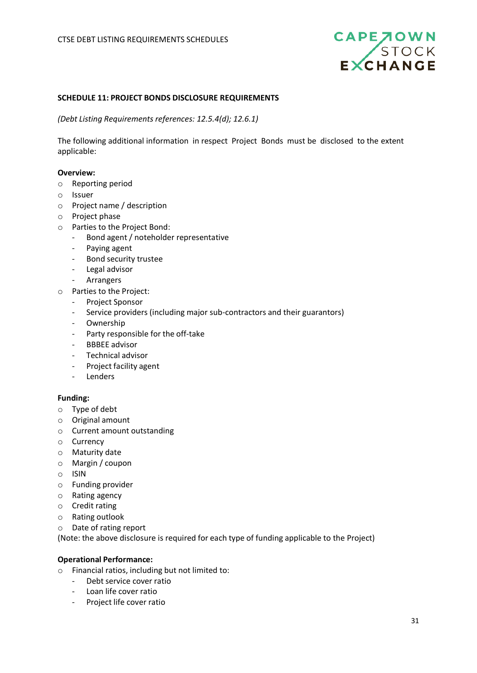

#### <span id="page-30-0"></span>**SCHEDULE 11: PROJECT BONDS DISCLOSURE REQUIREMENTS**

*(Debt Listing Requirements references: 12.5.4(d); 12.6.1)*

The following additional information in respect Project Bonds must be disclosed to the extent applicable:

#### **Overview:**

- o Reporting period
- o Issuer
- o Project name / description
- o Project phase
- o Parties to the Project Bond:
	- Bond agent / noteholder representative
	- Paying agent
	- Bond security trustee
	- Legal advisor
	- Arrangers
- o Parties to the Project:
	- Project Sponsor
	- Service providers (including major sub-contractors and their guarantors)
	- Ownership
	- Party responsible for the off-take
	- BBBEE advisor
	- Technical advisor
	- Project facility agent
	- Lenders

#### **Funding:**

- o Type of debt
- o Original amount
- o Current amount outstanding
- o Currency
- o Maturity date
- o Margin / coupon
- o ISIN
- o Funding provider
- o Rating agency
- o Credit rating
- o Rating outlook
- o Date of rating report

(Note: the above disclosure is required for each type of funding applicable to the Project)

#### **Operational Performance:**

- o Financial ratios, including but not limited to:
	- Debt service cover ratio
	- Loan life cover ratio
	- Project life cover ratio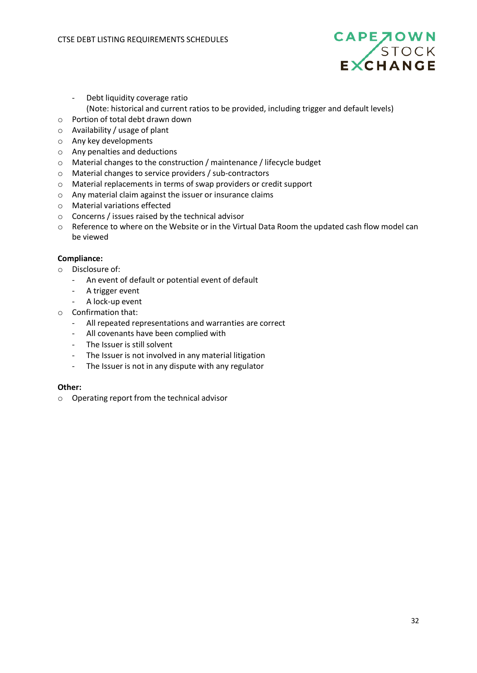

- Debt liquidity coverage ratio
- (Note: historical and current ratios to be provided, including trigger and default levels)
- o Portion of total debt drawn down
- o Availability / usage of plant
- o Any key developments
- o Any penalties and deductions
- o Material changes to the construction / maintenance / lifecycle budget
- o Material changes to service providers / sub-contractors
- o Material replacements in terms of swap providers or credit support
- o Any material claim against the issuer or insurance claims
- o Material variations effected
- o Concerns / issues raised by the technical advisor
- o Reference to where on the Website or in the Virtual Data Room the updated cash flow model can be viewed

# **Compliance:**

- o Disclosure of:
	- An event of default or potential event of default
	- A trigger event
	- A lock-up event
- o Confirmation that:
	- All repeated representations and warranties are correct
	- All covenants have been complied with
	- The Issuer is still solvent
	- The Issuer is not involved in any material litigation
	- The Issuer is not in any dispute with any regulator

## **Other:**

o Operating report from the technical advisor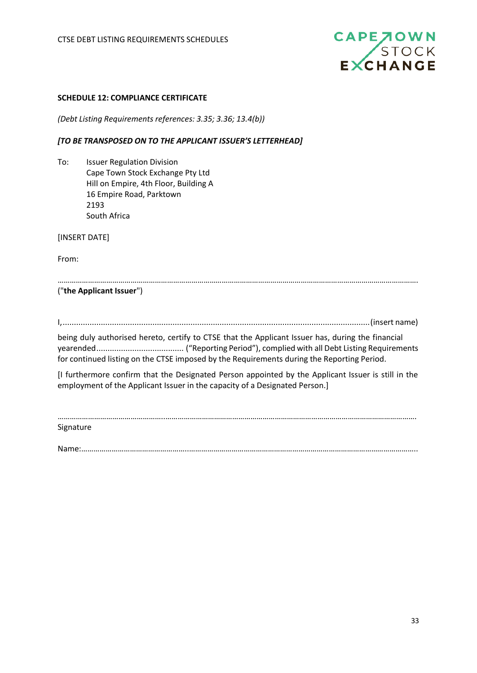

#### <span id="page-32-0"></span>**SCHEDULE 12: COMPLIANCE CERTIFICATE**

*(Debt Listing Requirements references: 3.35; 3.36; 13.4(b))*

#### *[TO BE TRANSPOSED ON TO THE APPLICANT ISSUER'S LETTERHEAD]*

To: Issuer Regulation Division Cape Town Stock Exchange Pty Ltd Hill on Empire, 4th Floor, Building A 16 Empire Road, Parktown 2193 South Africa

[INSERT DATE]

From:

| ("the Applicant Issuer") |  |
|--------------------------|--|

I,.........................................................................................................................................(insert name)

being duly authorised hereto, certify to CTSE that the Applicant Issuer has, during the financial yearended....................................... ("Reporting Period"), complied with all Debt Listing Requirements for continued listing on the CTSE imposed by the Requirements during the Reporting Period.

[I furthermore confirm that the Designated Person appointed by the Applicant Issuer is still in the employment of the Applicant Issuer in the capacity of a Designated Person.]

……………………………………………..…………………………………………………………………………………………………………….

Signature

Name:……………………………………………..…………………………………………………………………………………………………..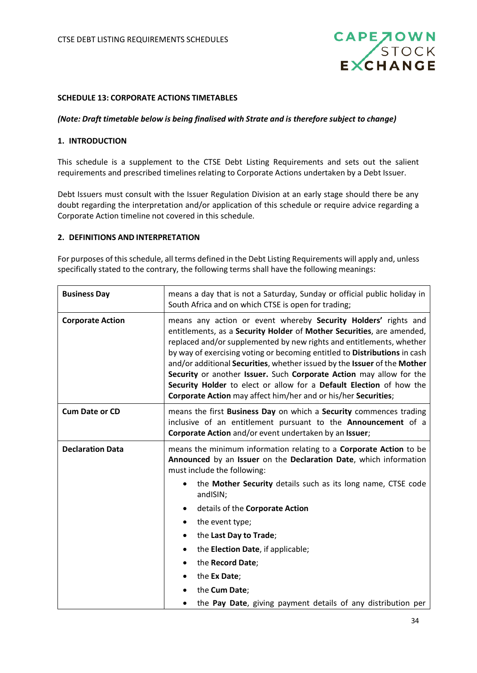

#### <span id="page-33-0"></span>**SCHEDULE 13: CORPORATE ACTIONS TIMETABLES**

#### *(Note: Draft timetable below is being finalised with Strate and is therefore subject to change)*

#### **1. INTRODUCTION**

This schedule is a supplement to the CTSE Debt Listing Requirements and sets out the salient requirements and prescribed timelines relating to Corporate Actions undertaken by a Debt Issuer.

Debt Issuers must consult with the Issuer Regulation Division at an early stage should there be any doubt regarding the interpretation and/or application of this schedule or require advice regarding a Corporate Action timeline not covered in this schedule.

#### **2. DEFINITIONS AND INTERPRETATION**

For purposes of this schedule, all terms defined in the Debt Listing Requirements will apply and, unless specifically stated to the contrary, the following terms shall have the following meanings:

| <b>Business Day</b>     | means a day that is not a Saturday, Sunday or official public holiday in<br>South Africa and on which CTSE is open for trading;                                                                                                                                                                                                                                                                                                                                                                                                                                                          |  |
|-------------------------|------------------------------------------------------------------------------------------------------------------------------------------------------------------------------------------------------------------------------------------------------------------------------------------------------------------------------------------------------------------------------------------------------------------------------------------------------------------------------------------------------------------------------------------------------------------------------------------|--|
| <b>Corporate Action</b> | means any action or event whereby Security Holders' rights and<br>entitlements, as a Security Holder of Mother Securities, are amended,<br>replaced and/or supplemented by new rights and entitlements, whether<br>by way of exercising voting or becoming entitled to Distributions in cash<br>and/or additional Securities, whether issued by the Issuer of the Mother<br>Security or another Issuer. Such Corporate Action may allow for the<br>Security Holder to elect or allow for a Default Election of how the<br>Corporate Action may affect him/her and or his/her Securities; |  |
| <b>Cum Date or CD</b>   | means the first Business Day on which a Security commences trading<br>inclusive of an entitlement pursuant to the Announcement of a<br>Corporate Action and/or event undertaken by an Issuer;                                                                                                                                                                                                                                                                                                                                                                                            |  |
| <b>Declaration Data</b> | means the minimum information relating to a Corporate Action to be<br>Announced by an Issuer on the Declaration Date, which information<br>must include the following:                                                                                                                                                                                                                                                                                                                                                                                                                   |  |
|                         | the Mother Security details such as its long name, CTSE code<br>andISIN;                                                                                                                                                                                                                                                                                                                                                                                                                                                                                                                 |  |
|                         | details of the Corporate Action<br>٠                                                                                                                                                                                                                                                                                                                                                                                                                                                                                                                                                     |  |
|                         | the event type;<br>٠                                                                                                                                                                                                                                                                                                                                                                                                                                                                                                                                                                     |  |
|                         | the Last Day to Trade;<br>٠                                                                                                                                                                                                                                                                                                                                                                                                                                                                                                                                                              |  |
|                         | the Election Date, if applicable;<br>٠                                                                                                                                                                                                                                                                                                                                                                                                                                                                                                                                                   |  |
|                         | the Record Date;<br>$\bullet$                                                                                                                                                                                                                                                                                                                                                                                                                                                                                                                                                            |  |
|                         | the Ex Date;                                                                                                                                                                                                                                                                                                                                                                                                                                                                                                                                                                             |  |
|                         | the Cum Date;                                                                                                                                                                                                                                                                                                                                                                                                                                                                                                                                                                            |  |
|                         | the Pay Date, giving payment details of any distribution per                                                                                                                                                                                                                                                                                                                                                                                                                                                                                                                             |  |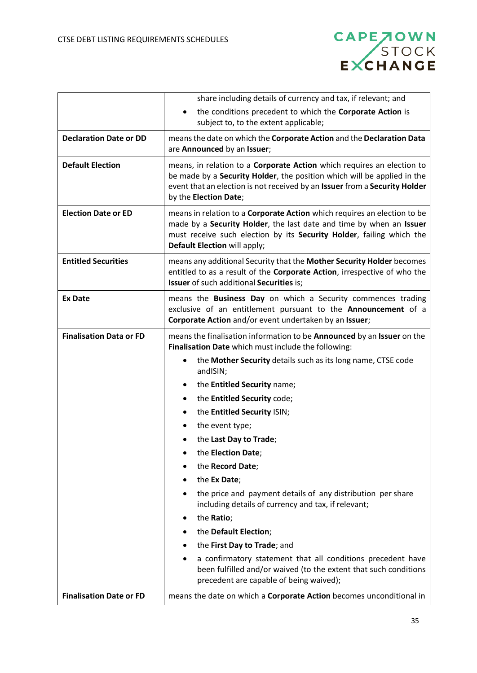

|                                | share including details of currency and tax, if relevant; and<br>the conditions precedent to which the Corporate Action is<br>$\bullet$<br>subject to, to the extent applicable;                                                                                                                                                                                                                                                                                                                                                                                                                                                                                                                                                                                                                                                          |  |
|--------------------------------|-------------------------------------------------------------------------------------------------------------------------------------------------------------------------------------------------------------------------------------------------------------------------------------------------------------------------------------------------------------------------------------------------------------------------------------------------------------------------------------------------------------------------------------------------------------------------------------------------------------------------------------------------------------------------------------------------------------------------------------------------------------------------------------------------------------------------------------------|--|
| <b>Declaration Date or DD</b>  | means the date on which the Corporate Action and the Declaration Data<br>are Announced by an Issuer;                                                                                                                                                                                                                                                                                                                                                                                                                                                                                                                                                                                                                                                                                                                                      |  |
| <b>Default Election</b>        | means, in relation to a Corporate Action which requires an election to<br>be made by a Security Holder, the position which will be applied in the<br>event that an election is not received by an Issuer from a Security Holder<br>by the Election Date;                                                                                                                                                                                                                                                                                                                                                                                                                                                                                                                                                                                  |  |
| <b>Election Date or ED</b>     | means in relation to a <b>Corporate Action</b> which requires an election to be<br>made by a Security Holder, the last date and time by when an Issuer<br>must receive such election by its Security Holder, failing which the<br>Default Election will apply;                                                                                                                                                                                                                                                                                                                                                                                                                                                                                                                                                                            |  |
| <b>Entitled Securities</b>     | means any additional Security that the Mother Security Holder becomes<br>entitled to as a result of the Corporate Action, irrespective of who the<br>Issuer of such additional Securities is;                                                                                                                                                                                                                                                                                                                                                                                                                                                                                                                                                                                                                                             |  |
| <b>Ex Date</b>                 | means the Business Day on which a Security commences trading<br>exclusive of an entitlement pursuant to the Announcement of a<br>Corporate Action and/or event undertaken by an Issuer;                                                                                                                                                                                                                                                                                                                                                                                                                                                                                                                                                                                                                                                   |  |
| <b>Finalisation Data or FD</b> | means the finalisation information to be <b>Announced</b> by an <b>Issuer</b> on the<br>Finalisation Date which must include the following:<br>the Mother Security details such as its long name, CTSE code<br>andISIN;<br>the Entitled Security name;<br>$\bullet$<br>the Entitled Security code;<br>٠<br>the Entitled Security ISIN;<br>the event type;<br>the Last Day to Trade;<br>the Election Date;<br>the Record Date;<br>the Ex Date;<br>the price and payment details of any distribution per share<br>including details of currency and tax, if relevant;<br>the Ratio;<br>٠<br>the Default Election;<br>the First Day to Trade; and<br>a confirmatory statement that all conditions precedent have<br>$\bullet$<br>been fulfilled and/or waived (to the extent that such conditions<br>precedent are capable of being waived); |  |
| <b>Finalisation Date or FD</b> | means the date on which a Corporate Action becomes unconditional in                                                                                                                                                                                                                                                                                                                                                                                                                                                                                                                                                                                                                                                                                                                                                                       |  |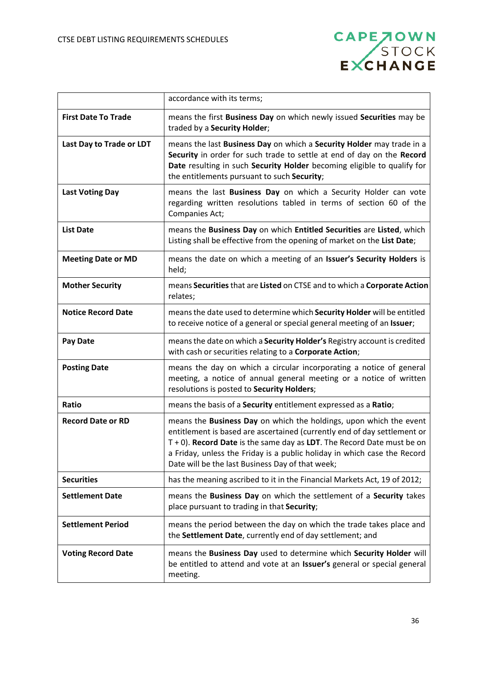

|                            | accordance with its terms;                                                                                                                                                                                                                                                                                                                                  |
|----------------------------|-------------------------------------------------------------------------------------------------------------------------------------------------------------------------------------------------------------------------------------------------------------------------------------------------------------------------------------------------------------|
| <b>First Date To Trade</b> | means the first Business Day on which newly issued Securities may be<br>traded by a Security Holder;                                                                                                                                                                                                                                                        |
| Last Day to Trade or LDT   | means the last Business Day on which a Security Holder may trade in a<br>Security in order for such trade to settle at end of day on the Record<br>Date resulting in such Security Holder becoming eligible to qualify for<br>the entitlements pursuant to such Security;                                                                                   |
| <b>Last Voting Day</b>     | means the last Business Day on which a Security Holder can vote<br>regarding written resolutions tabled in terms of section 60 of the<br>Companies Act;                                                                                                                                                                                                     |
| <b>List Date</b>           | means the Business Day on which Entitled Securities are Listed, which<br>Listing shall be effective from the opening of market on the List Date;                                                                                                                                                                                                            |
| <b>Meeting Date or MD</b>  | means the date on which a meeting of an Issuer's Security Holders is<br>held;                                                                                                                                                                                                                                                                               |
| <b>Mother Security</b>     | means Securities that are Listed on CTSE and to which a Corporate Action<br>relates;                                                                                                                                                                                                                                                                        |
| <b>Notice Record Date</b>  | means the date used to determine which Security Holder will be entitled<br>to receive notice of a general or special general meeting of an Issuer;                                                                                                                                                                                                          |
| <b>Pay Date</b>            | means the date on which a Security Holder's Registry account is credited<br>with cash or securities relating to a Corporate Action;                                                                                                                                                                                                                         |
| <b>Posting Date</b>        | means the day on which a circular incorporating a notice of general<br>meeting, a notice of annual general meeting or a notice of written<br>resolutions is posted to Security Holders;                                                                                                                                                                     |
| Ratio                      | means the basis of a Security entitlement expressed as a Ratio;                                                                                                                                                                                                                                                                                             |
| <b>Record Date or RD</b>   | means the Business Day on which the holdings, upon which the event<br>entitlement is based are ascertained (currently end of day settlement or<br>$T + 0$ ). Record Date is the same day as LDT. The Record Date must be on<br>a Friday, unless the Friday is a public holiday in which case the Record<br>Date will be the last Business Day of that week; |
| <b>Securities</b>          | has the meaning ascribed to it in the Financial Markets Act, 19 of 2012;                                                                                                                                                                                                                                                                                    |
| <b>Settlement Date</b>     | means the Business Day on which the settlement of a Security takes<br>place pursuant to trading in that Security;                                                                                                                                                                                                                                           |
| <b>Settlement Period</b>   | means the period between the day on which the trade takes place and<br>the Settlement Date, currently end of day settlement; and                                                                                                                                                                                                                            |
| <b>Voting Record Date</b>  | means the Business Day used to determine which Security Holder will<br>be entitled to attend and vote at an Issuer's general or special general<br>meeting.                                                                                                                                                                                                 |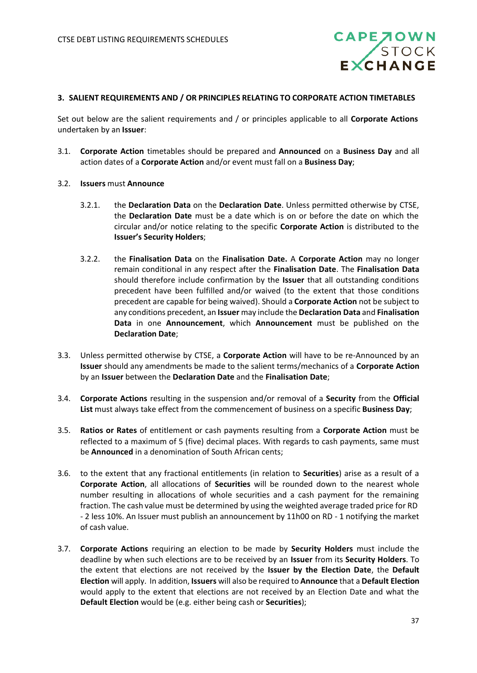

#### **3. SALIENT REQUIREMENTS AND / OR PRINCIPLES RELATING TO CORPORATE ACTION TIMETABLES**

Set out below are the salient requirements and / or principles applicable to all **Corporate Actions** undertaken by an **Issuer**:

- 3.1. **Corporate Action** timetables should be prepared and **Announced** on a **Business Day** and all action dates of a **Corporate Action** and/or event must fall on a **Business Day**;
- 3.2. **Issuers** must **Announce**
	- 3.2.1. the **Declaration Data** on the **Declaration Date**. Unless permitted otherwise by CTSE, the **Declaration Date** must be a date which is on or before the date on which the circular and/or notice relating to the specific **Corporate Action** is distributed to the **Issuer's Security Holders**;
	- 3.2.2. the **Finalisation Data** on the **Finalisation Date.** A **Corporate Action** may no longer remain conditional in any respect after the **Finalisation Date**. The **Finalisation Data** should therefore include confirmation by the **Issuer** that all outstanding conditions precedent have been fulfilled and/or waived (to the extent that those conditions precedent are capable for being waived). Should a **Corporate Action** not be subject to any conditions precedent, an **Issuer** may include the **Declaration Data** and **Finalisation Data** in one **Announcement**, which **Announcement** must be published on the **Declaration Date**;
- 3.3. Unless permitted otherwise by CTSE, a **Corporate Action** will have to be re-Announced by an **Issuer** should any amendments be made to the salient terms/mechanics of a **Corporate Action** by an **Issuer** between the **Declaration Date** and the **Finalisation Date**;
- 3.4. **Corporate Actions** resulting in the suspension and/or removal of a **Security** from the **Official List** must always take effect from the commencement of business on a specific **Business Day**;
- 3.5. **Ratios or Rates** of entitlement or cash payments resulting from a **Corporate Action** must be reflected to a maximum of 5 (five) decimal places. With regards to cash payments, same must be **Announced** in a denomination of South African cents;
- 3.6. to the extent that any fractional entitlements (in relation to **Securities**) arise as a result of a **Corporate Action**, all allocations of **Securities** will be rounded down to the nearest whole number resulting in allocations of whole securities and a cash payment for the remaining fraction. The cash value must be determined by using the weighted average traded price for RD - 2 less 10%. An Issuer must publish an announcement by 11h00 on RD - 1 notifying the market of cash value.
- 3.7. **Corporate Actions** requiring an election to be made by **Security Holders** must include the deadline by when such elections are to be received by an **Issuer** from its **Security Holders**. To the extent that elections are not received by the **Issuer by the Election Date**, the **Default Election** will apply. In addition, **Issuers** will also be required to **Announce** that a **Default Election** would apply to the extent that elections are not received by an Election Date and what the **Default Election** would be (e.g. either being cash or **Securities**);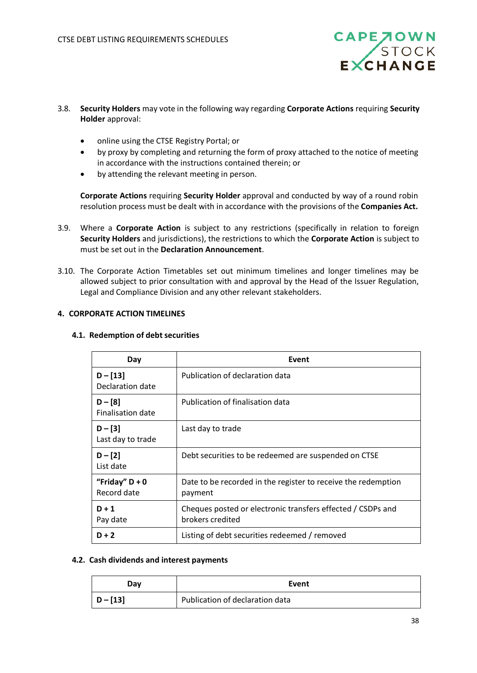

- 3.8. **Security Holders** may vote in the following way regarding **Corporate Actions** requiring **Security Holder** approval:
	- online using the CTSE Registry Portal; or
	- by proxy by completing and returning the form of proxy attached to the notice of meeting in accordance with the instructions contained therein; or
	- by attending the relevant meeting in person.

**Corporate Actions** requiring **Security Holder** approval and conducted by way of a round robin resolution process must be dealt with in accordance with the provisions of the **Companies Act.**

- 3.9. Where a **Corporate Action** is subject to any restrictions (specifically in relation to foreign **Security Holders** and jurisdictions), the restrictions to which the **Corporate Action** is subject to must be set out in the **Declaration Announcement**.
- 3.10. The Corporate Action Timetables set out minimum timelines and longer timelines may be allowed subject to prior consultation with and approval by the Head of the Issuer Regulation, Legal and Compliance Division and any other relevant stakeholders.

## **4. CORPORATE ACTION TIMELINES**

#### **4.1. Redemption of debt securities**

| Day                             | Event                                                                           |
|---------------------------------|---------------------------------------------------------------------------------|
| $D - [13]$<br>Declaration date  | Publication of declaration data                                                 |
| $D - [8]$<br>Finalisation date  | Publication of finalisation data                                                |
| $D - [3]$<br>Last day to trade  | Last day to trade                                                               |
| $D - [2]$<br>List date          | Debt securities to be redeemed are suspended on CTSE                            |
| "Friday" $D + 0$<br>Record date | Date to be recorded in the register to receive the redemption<br>payment        |
| $D + 1$<br>Pay date             | Cheques posted or electronic transfers effected / CSDPs and<br>brokers credited |
| $D + 2$                         | Listing of debt securities redeemed / removed                                   |

#### **4.2. Cash dividends and interest payments**

| Day        | Event                           |
|------------|---------------------------------|
| $D - [13]$ | Publication of declaration data |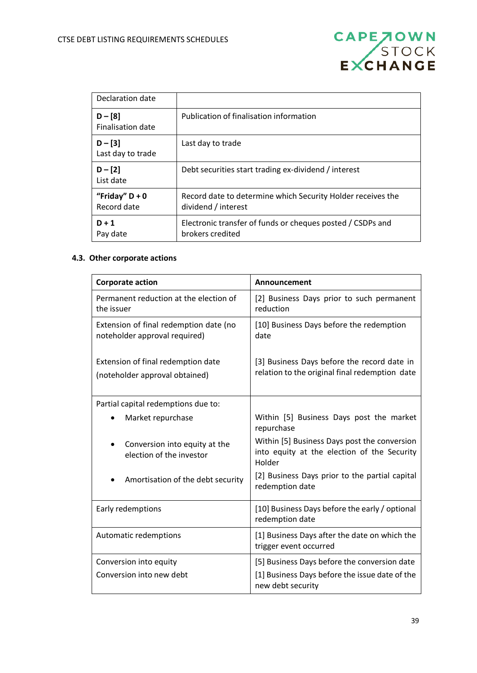| <b>CAPE 70WN</b> |       |
|------------------|-------|
|                  | STOCK |
| EXCHANGE         |       |

| Declaration date                      |                                                                                    |
|---------------------------------------|------------------------------------------------------------------------------------|
| $D - [8]$<br><b>Finalisation date</b> | Publication of finalisation information                                            |
| $D - [3]$<br>Last day to trade        | Last day to trade                                                                  |
| $D - [2]$<br>List date                | Debt securities start trading ex-dividend / interest                               |
| "Friday" $D + 0$<br>Record date       | Record date to determine which Security Holder receives the<br>dividend / interest |
| $D + 1$<br>Pay date                   | Electronic transfer of funds or cheques posted / CSDPs and<br>brokers credited     |

# **4.3. Other corporate actions**

| <b>Corporate action</b>                                                 | Announcement                                                                                          |
|-------------------------------------------------------------------------|-------------------------------------------------------------------------------------------------------|
| Permanent reduction at the election of<br>the issuer                    | [2] Business Days prior to such permanent<br>reduction                                                |
| Extension of final redemption date (no<br>noteholder approval required) | [10] Business Days before the redemption<br>date                                                      |
| Extension of final redemption date<br>(noteholder approval obtained)    | [3] Business Days before the record date in<br>relation to the original final redemption date         |
| Partial capital redemptions due to:                                     |                                                                                                       |
| Market repurchase<br>$\bullet$                                          | Within [5] Business Days post the market<br>repurchase                                                |
| Conversion into equity at the<br>election of the investor               | Within [5] Business Days post the conversion<br>into equity at the election of the Security<br>Holder |
| Amortisation of the debt security                                       | [2] Business Days prior to the partial capital<br>redemption date                                     |
| Early redemptions                                                       | [10] Business Days before the early / optional<br>redemption date                                     |
| Automatic redemptions                                                   | [1] Business Days after the date on which the<br>trigger event occurred                               |
| Conversion into equity                                                  | [5] Business Days before the conversion date                                                          |
| Conversion into new debt                                                | [1] Business Days before the issue date of the<br>new debt security                                   |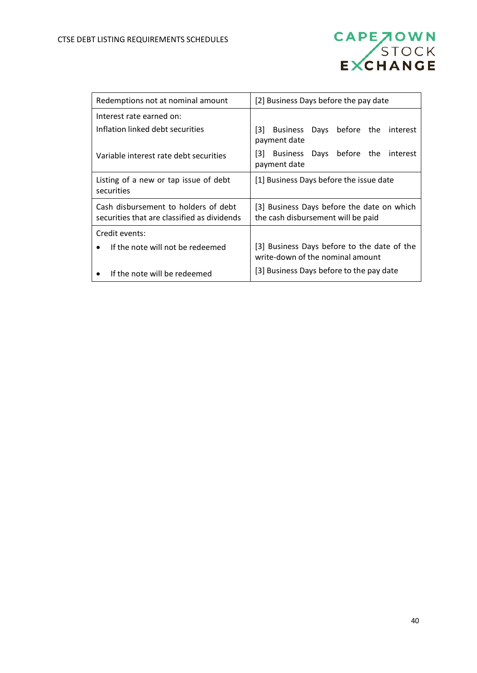

| Redemptions not at nominal amount                                                   | [2] Business Days before the pay date                                            |  |
|-------------------------------------------------------------------------------------|----------------------------------------------------------------------------------|--|
| Interest rate earned on:                                                            |                                                                                  |  |
| Inflation linked debt securities                                                    | [3]<br>Days<br>before the<br><b>Business</b><br>interest<br>payment date         |  |
| Variable interest rate debt securities                                              | [3]<br><b>Business</b><br>before the<br>interest<br>Days<br>payment date         |  |
| Listing of a new or tap issue of debt<br>securities                                 | [1] Business Days before the issue date                                          |  |
| Cash disbursement to holders of debt<br>securities that are classified as dividends | [3] Business Days before the date on which<br>the cash disbursement will be paid |  |
| Credit events:                                                                      |                                                                                  |  |
| If the note will not be redeemed<br>$\bullet$                                       | [3] Business Days before to the date of the<br>write-down of the nominal amount  |  |
| If the note will be redeemed                                                        | [3] Business Days before to the pay date                                         |  |